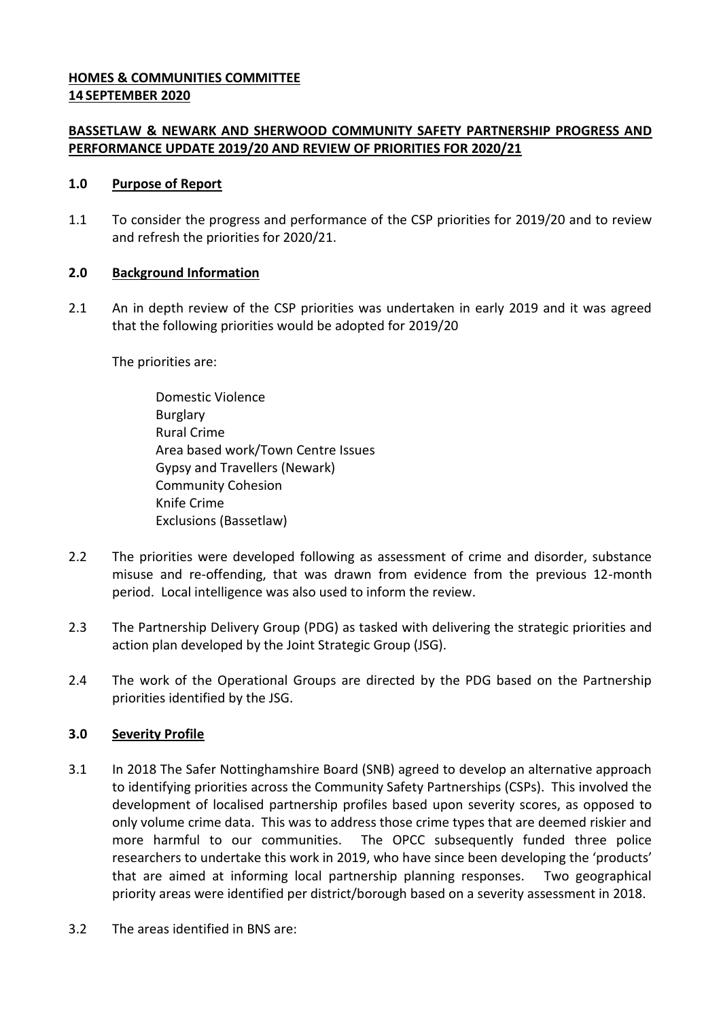### **HOMES & COMMUNITIES COMMITTEE 14 SEPTEMBER 2020**

## **BASSETLAW & NEWARK AND SHERWOOD COMMUNITY SAFETY PARTNERSHIP PROGRESS AND PERFORMANCE UPDATE 2019/20 AND REVIEW OF PRIORITIES FOR 2020/21**

#### **1.0 Purpose of Report**

1.1 To consider the progress and performance of the CSP priorities for 2019/20 and to review and refresh the priorities for 2020/21.

### **2.0 Background Information**

2.1 An in depth review of the CSP priorities was undertaken in early 2019 and it was agreed that the following priorities would be adopted for 2019/20

The priorities are:

- Domestic Violence Burglary Rural Crime Area based work/Town Centre Issues Gypsy and Travellers (Newark) Community Cohesion Knife Crime Exclusions (Bassetlaw)
- 2.2 The priorities were developed following as assessment of crime and disorder, substance misuse and re-offending, that was drawn from evidence from the previous 12-month period. Local intelligence was also used to inform the review.
- 2.3 The Partnership Delivery Group (PDG) as tasked with delivering the strategic priorities and action plan developed by the Joint Strategic Group (JSG).
- 2.4 The work of the Operational Groups are directed by the PDG based on the Partnership priorities identified by the JSG.

## **3.0 Severity Profile**

- 3.1 In 2018 The Safer Nottinghamshire Board (SNB) agreed to develop an alternative approach to identifying priorities across the Community Safety Partnerships (CSPs). This involved the development of localised partnership profiles based upon severity scores, as opposed to only volume crime data. This was to address those crime types that are deemed riskier and more harmful to our communities. The OPCC subsequently funded three police researchers to undertake this work in 2019, who have since been developing the 'products' that are aimed at informing local partnership planning responses. Two geographical priority areas were identified per district/borough based on a severity assessment in 2018.
- 3.2 The areas identified in BNS are: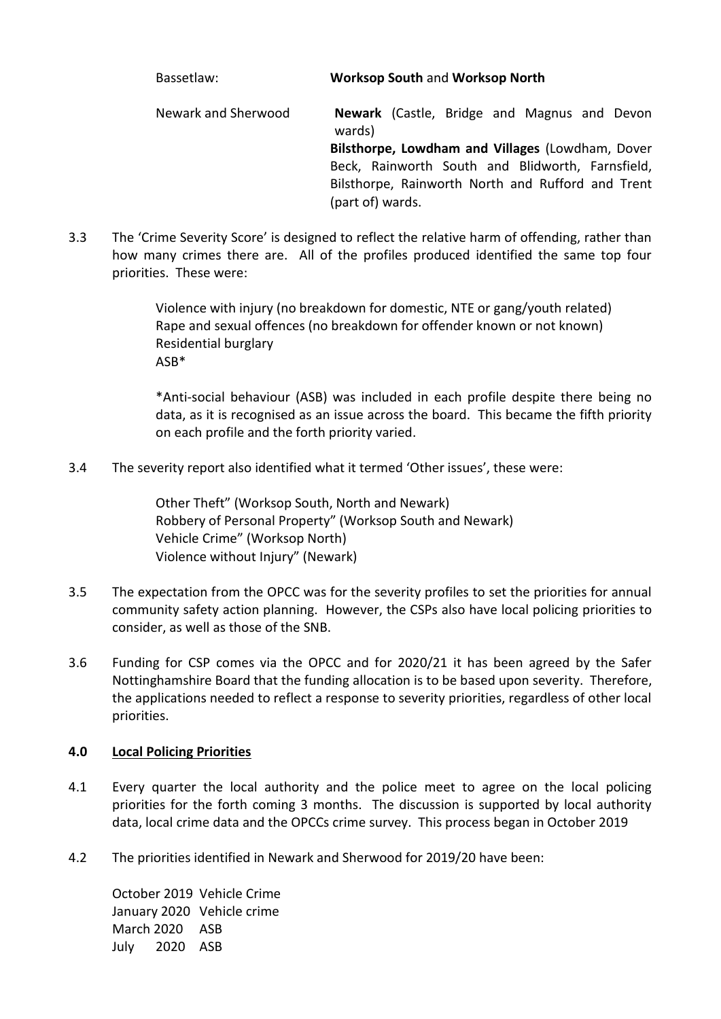# Bassetlaw: **Worksop South** and **Worksop North**

Newark and Sherwood **Newark** (Castle, Bridge and Magnus and Devon wards) **Bilsthorpe, Lowdham and Villages** (Lowdham, Dover Beck, Rainworth South and Blidworth, Farnsfield, Bilsthorpe, Rainworth North and Rufford and Trent (part of) wards.

3.3 The 'Crime Severity Score' is designed to reflect the relative harm of offending, rather than how many crimes there are. All of the profiles produced identified the same top four priorities. These were:

> Violence with injury (no breakdown for domestic, NTE or gang/youth related) Rape and sexual offences (no breakdown for offender known or not known) Residential burglary ASB\*

\*Anti-social behaviour (ASB) was included in each profile despite there being no data, as it is recognised as an issue across the board. This became the fifth priority on each profile and the forth priority varied.

3.4 The severity report also identified what it termed 'Other issues', these were:

Other Theft" (Worksop South, North and Newark) Robbery of Personal Property" (Worksop South and Newark) Vehicle Crime" (Worksop North) Violence without Injury" (Newark)

- 3.5 The expectation from the OPCC was for the severity profiles to set the priorities for annual community safety action planning. However, the CSPs also have local policing priorities to consider, as well as those of the SNB.
- 3.6 Funding for CSP comes via the OPCC and for 2020/21 it has been agreed by the Safer Nottinghamshire Board that the funding allocation is to be based upon severity. Therefore, the applications needed to reflect a response to severity priorities, regardless of other local priorities.

## **4.0 Local Policing Priorities**

- 4.1 Every quarter the local authority and the police meet to agree on the local policing priorities for the forth coming 3 months. The discussion is supported by local authority data, local crime data and the OPCCs crime survey. This process began in October 2019
- 4.2 The priorities identified in Newark and Sherwood for 2019/20 have been:

October 2019 Vehicle Crime January 2020 Vehicle crime March 2020 ASB July 2020 ASB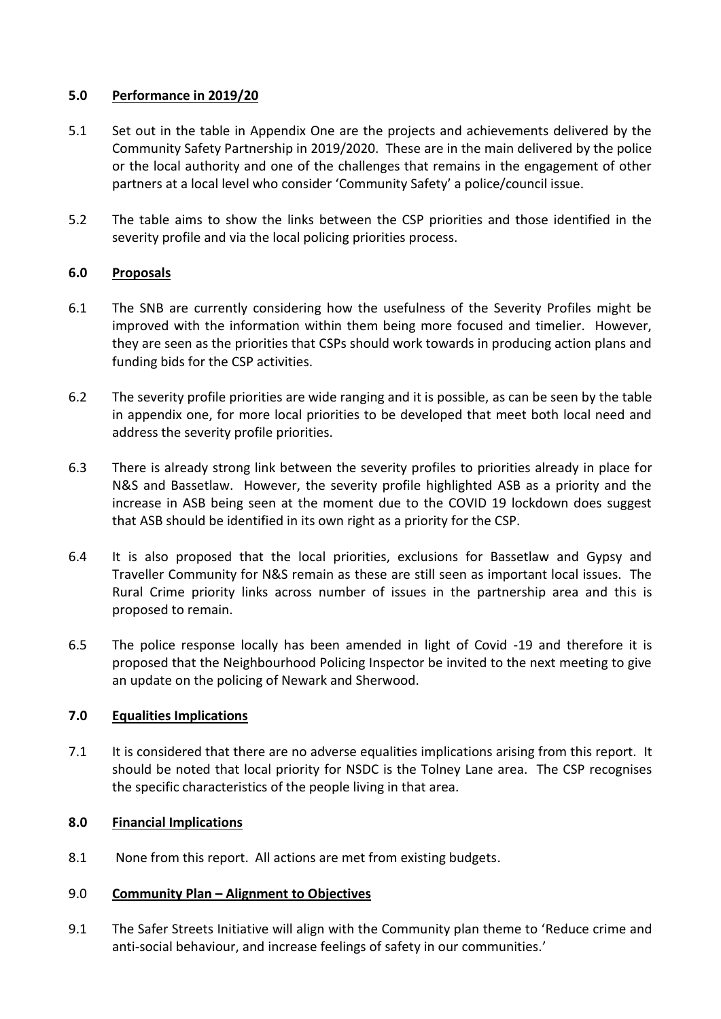### **5.0 Performance in 2019/20**

- 5.1 Set out in the table in Appendix One are the projects and achievements delivered by the Community Safety Partnership in 2019/2020. These are in the main delivered by the police or the local authority and one of the challenges that remains in the engagement of other partners at a local level who consider 'Community Safety' a police/council issue.
- 5.2 The table aims to show the links between the CSP priorities and those identified in the severity profile and via the local policing priorities process.

### **6.0 Proposals**

- 6.1 The SNB are currently considering how the usefulness of the Severity Profiles might be improved with the information within them being more focused and timelier. However, they are seen as the priorities that CSPs should work towards in producing action plans and funding bids for the CSP activities.
- 6.2 The severity profile priorities are wide ranging and it is possible, as can be seen by the table in appendix one, for more local priorities to be developed that meet both local need and address the severity profile priorities.
- 6.3 There is already strong link between the severity profiles to priorities already in place for N&S and Bassetlaw. However, the severity profile highlighted ASB as a priority and the increase in ASB being seen at the moment due to the COVID 19 lockdown does suggest that ASB should be identified in its own right as a priority for the CSP.
- 6.4 It is also proposed that the local priorities, exclusions for Bassetlaw and Gypsy and Traveller Community for N&S remain as these are still seen as important local issues. The Rural Crime priority links across number of issues in the partnership area and this is proposed to remain.
- 6.5 The police response locally has been amended in light of Covid -19 and therefore it is proposed that the Neighbourhood Policing Inspector be invited to the next meeting to give an update on the policing of Newark and Sherwood.

## **7.0 Equalities Implications**

7.1 It is considered that there are no adverse equalities implications arising from this report. It should be noted that local priority for NSDC is the Tolney Lane area. The CSP recognises the specific characteristics of the people living in that area.

#### **8.0 Financial Implications**

8.1 None from this report. All actions are met from existing budgets.

#### 9.0 **Community Plan – Alignment to Objectives**

9.1 The Safer Streets Initiative will align with the Community plan theme to 'Reduce crime and anti-social behaviour, and increase feelings of safety in our communities.'